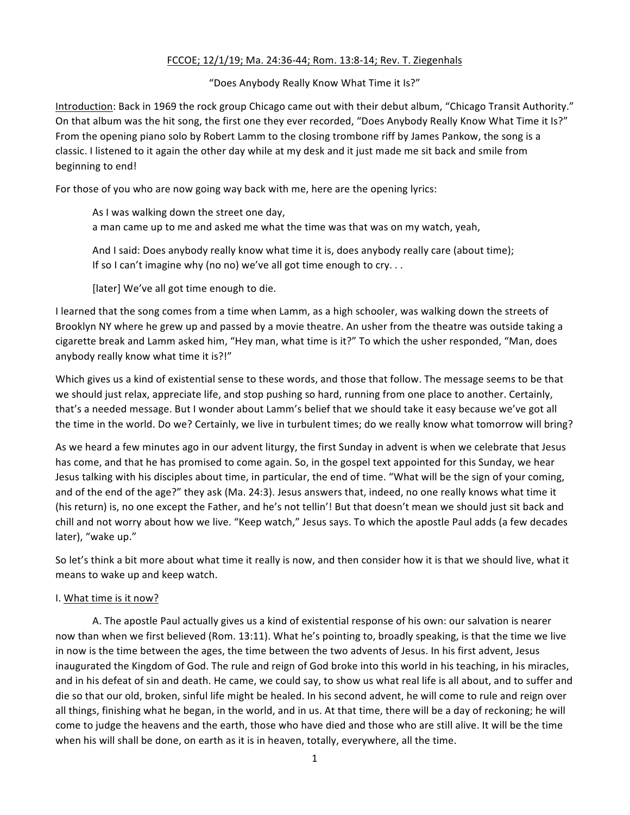## FCCOE; 12/1/19; Ma. 24:36-44; Rom. 13:8-14; Rev. T. Ziegenhals

"Does Anybody Really Know What Time it Is?"

Introduction: Back in 1969 the rock group Chicago came out with their debut album, "Chicago Transit Authority." On that album was the hit song, the first one they ever recorded, "Does Anybody Really Know What Time it Is?" From the opening piano solo by Robert Lamm to the closing trombone riff by James Pankow, the song is a classic. I listened to it again the other day while at my desk and it just made me sit back and smile from beginning to end!

For those of you who are now going way back with me, here are the opening lyrics:

As I was walking down the street one day, a man came up to me and asked me what the time was that was on my watch, yeah,

And I said: Does anybody really know what time it is, does anybody really care (about time); If so I can't imagine why (no no) we've all got time enough to  $\text{cry}$ ...

[later] We've all got time enough to die.

I learned that the song comes from a time when Lamm, as a high schooler, was walking down the streets of Brooklyn NY where he grew up and passed by a movie theatre. An usher from the theatre was outside taking a cigarette break and Lamm asked him, "Hey man, what time is it?" To which the usher responded, "Man, does anybody really know what time it is?!"

Which gives us a kind of existential sense to these words, and those that follow. The message seems to be that we should just relax, appreciate life, and stop pushing so hard, running from one place to another. Certainly, that's a needed message. But I wonder about Lamm's belief that we should take it easy because we've got all the time in the world. Do we? Certainly, we live in turbulent times; do we really know what tomorrow will bring?

As we heard a few minutes ago in our advent liturgy, the first Sunday in advent is when we celebrate that Jesus has come, and that he has promised to come again. So, in the gospel text appointed for this Sunday, we hear Jesus talking with his disciples about time, in particular, the end of time. "What will be the sign of your coming, and of the end of the age?" they ask (Ma. 24:3). Jesus answers that, indeed, no one really knows what time it (his return) is, no one except the Father, and he's not tellin'! But that doesn't mean we should just sit back and chill and not worry about how we live. "Keep watch," Jesus says. To which the apostle Paul adds (a few decades later), "wake up."

So let's think a bit more about what time it really is now, and then consider how it is that we should live, what it means to wake up and keep watch.

## I. What time is it now?

A. The apostle Paul actually gives us a kind of existential response of his own: our salvation is nearer now than when we first believed (Rom. 13:11). What he's pointing to, broadly speaking, is that the time we live in now is the time between the ages, the time between the two advents of Jesus. In his first advent, Jesus inaugurated the Kingdom of God. The rule and reign of God broke into this world in his teaching, in his miracles, and in his defeat of sin and death. He came, we could say, to show us what real life is all about, and to suffer and die so that our old, broken, sinful life might be healed. In his second advent, he will come to rule and reign over all things, finishing what he began, in the world, and in us. At that time, there will be a day of reckoning; he will come to judge the heavens and the earth, those who have died and those who are still alive. It will be the time when his will shall be done, on earth as it is in heaven, totally, everywhere, all the time.